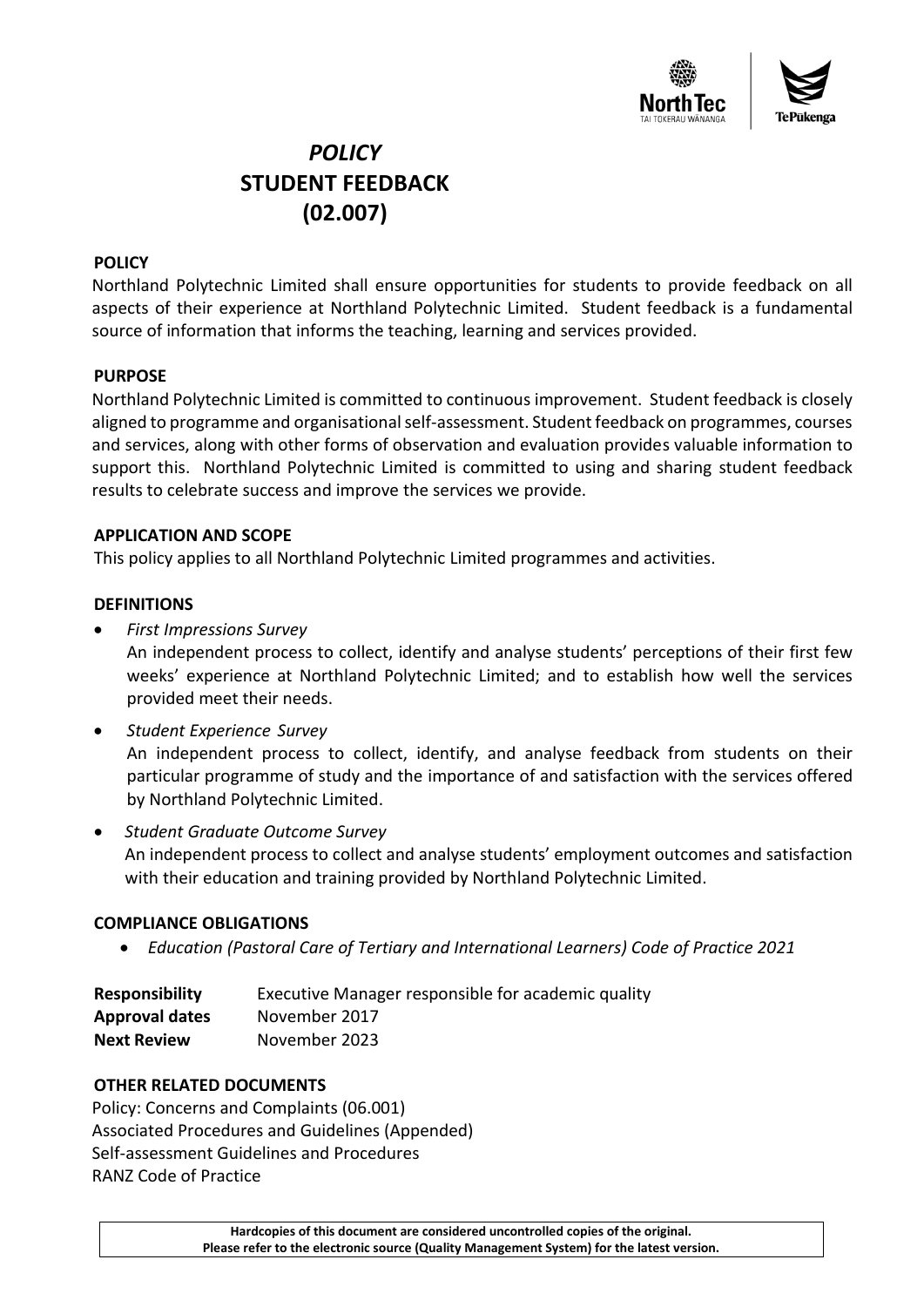

# *POLICY* **STUDENT FEEDBACK (02.007)**

# **POLICY**

Northland Polytechnic Limited shall ensure opportunities for students to provide feedback on all aspects of their experience at Northland Polytechnic Limited. Student feedback is a fundamental source of information that informs the teaching, learning and services provided.

### **PURPOSE**

Northland Polytechnic Limited is committed to continuous improvement. Student feedback is closely aligned to programme and organisational self-assessment. Student feedback on programmes, courses and services, along with other forms of observation and evaluation provides valuable information to support this. Northland Polytechnic Limited is committed to using and sharing student feedback results to celebrate success and improve the services we provide.

### **APPLICATION AND SCOPE**

This policy applies to all Northland Polytechnic Limited programmes and activities.

# **DEFINITIONS**

• *First Impressions Survey* 

An independent process to collect, identify and analyse students' perceptions of their first few weeks' experience at Northland Polytechnic Limited; and to establish how well the services provided meet their needs.

- *Student Experience Survey* An independent process to collect, identify, and analyse feedback from students on their particular programme of study and the importance of and satisfaction with the services offered by Northland Polytechnic Limited.
- *Student Graduate Outcome Survey* An independent process to collect and analyse students' employment outcomes and satisfaction with their education and training provided by Northland Polytechnic Limited.

### **COMPLIANCE OBLIGATIONS**

• *Education (Pastoral Care of Tertiary and International Learners) Code of Practice 2021*

| <b>Responsibility</b> | Executive Manager responsible for academic quality |
|-----------------------|----------------------------------------------------|
| <b>Approval dates</b> | November 2017                                      |
| <b>Next Review</b>    | November 2023                                      |

### **OTHER RELATED DOCUMENTS**

Policy: Concerns and Complaints (06.001) Associated Procedures and Guidelines (Appended) Self-assessment Guidelines and Procedures RANZ Code of Practice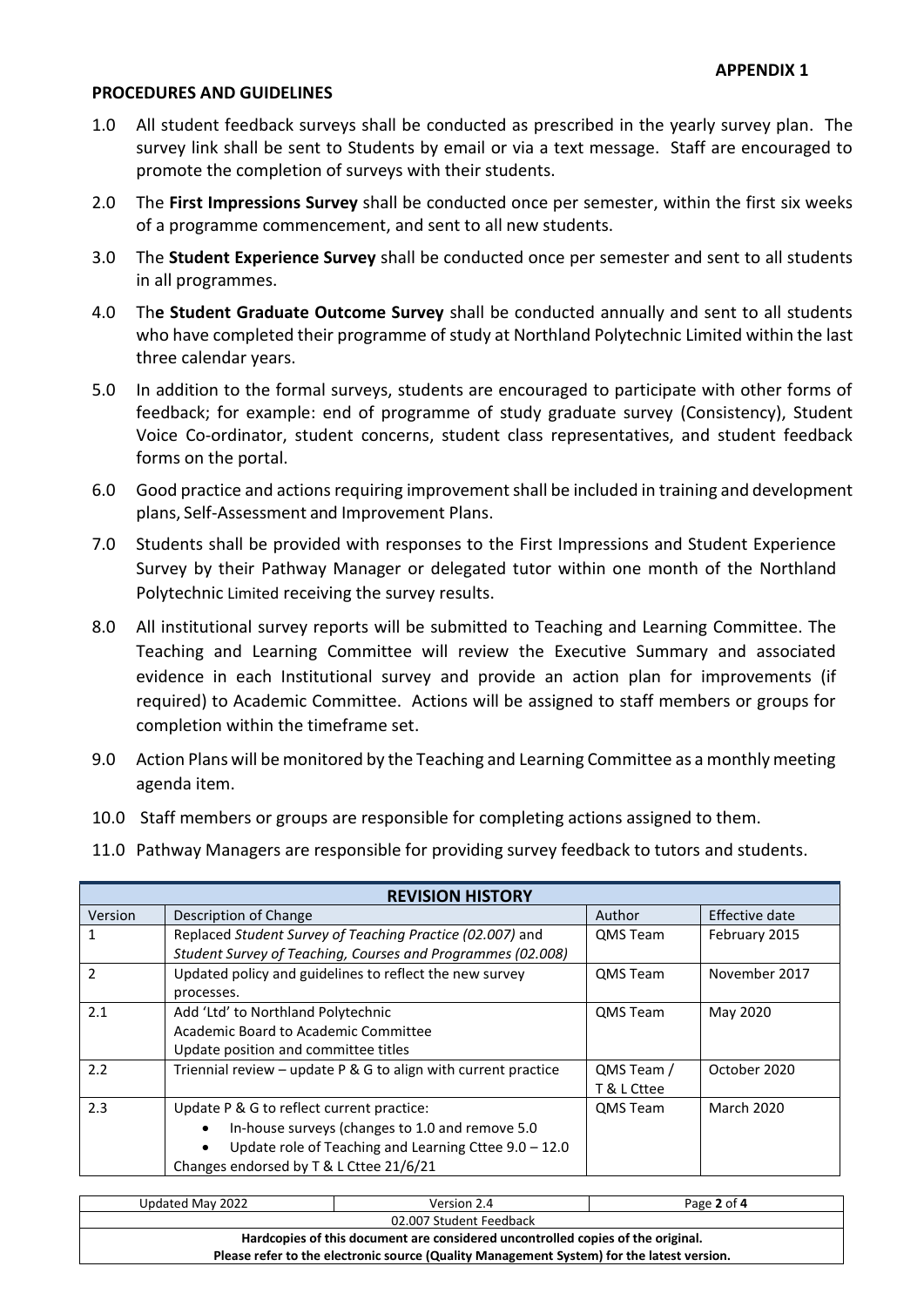#### **PROCEDURES AND GUIDELINES**

- 1.0 All student feedback surveys shall be conducted as prescribed in the yearly survey plan. The survey link shall be sent to Students by email or via a text message. Staff are encouraged to promote the completion of surveys with their students.
- 2.0 The **First Impressions Survey** shall be conducted once per semester, within the first six weeks of a programme commencement, and sent to all new students.
- 3.0 The **Student Experience Survey** shall be conducted once per semester and sent to all students in all programmes.
- 4.0 Th**e Student Graduate Outcome Survey** shall be conducted annually and sent to all students who have completed their programme of study at Northland Polytechnic Limited within the last three calendar years.
- 5.0 In addition to the formal surveys, students are encouraged to participate with other forms of feedback; for example: end of programme of study graduate survey (Consistency), Student Voice Co-ordinator, student concerns, student class representatives, and student feedback forms on the portal.
- 6.0 Good practice and actions requiring improvement shall be included in training and development plans, Self-Assessment and Improvement Plans.
- 7.0 Students shall be provided with responses to the First Impressions and Student Experience Survey by their Pathway Manager or delegated tutor within one month of the Northland Polytechnic Limited receiving the survey results.
- 8.0 All institutional survey reports will be submitted to Teaching and Learning Committee. The Teaching and Learning Committee will review the Executive Summary and associated evidence in each Institutional survey and provide an action plan for improvements (if required) to Academic Committee. Actions will be assigned to staff members or groups for completion within the timeframe set.
- 9.0 Action Plans will be monitored by the Teaching and Learning Committee as a monthly meeting agenda item.
- 10.0 Staff members or groups are responsible for completing actions assigned to them.
- 11.0 Pathway Managers are responsible for providing survey feedback to tutors and students.

|                                                                | <b>REVISION HISTORY</b> |                   |  |
|----------------------------------------------------------------|-------------------------|-------------------|--|
| Description of Change                                          | Author                  | Effective date    |  |
| Replaced Student Survey of Teaching Practice (02.007) and      | <b>QMS</b> Team         | February 2015     |  |
| Student Survey of Teaching, Courses and Programmes (02.008)    |                         |                   |  |
| Updated policy and guidelines to reflect the new survey        | <b>QMS</b> Team         | November 2017     |  |
| processes.                                                     |                         |                   |  |
| Add 'Ltd' to Northland Polytechnic                             | <b>QMS</b> Team         | May 2020          |  |
| Academic Board to Academic Committee                           |                         |                   |  |
| Update position and committee titles                           |                         |                   |  |
| Triennial review - update P & G to align with current practice | QMS Team /              | October 2020      |  |
|                                                                | T & L Cttee             |                   |  |
| Update P & G to reflect current practice:                      | <b>QMS</b> Team         | <b>March 2020</b> |  |
| In-house surveys (changes to 1.0 and remove 5.0                |                         |                   |  |
| Update role of Teaching and Learning Cttee $9.0 - 12.0$        |                         |                   |  |
| Changes endorsed by T & L Cttee 21/6/21                        |                         |                   |  |
|                                                                |                         |                   |  |

| Updated May 2022                                                                                                                                                             | Version 2.4 | Page 2 of 4 |
|------------------------------------------------------------------------------------------------------------------------------------------------------------------------------|-------------|-------------|
| 02.007 Student Feedback                                                                                                                                                      |             |             |
| Hardcopies of this document are considered uncontrolled copies of the original.<br>Please refer to the electronic source (Quality Management System) for the latest version. |             |             |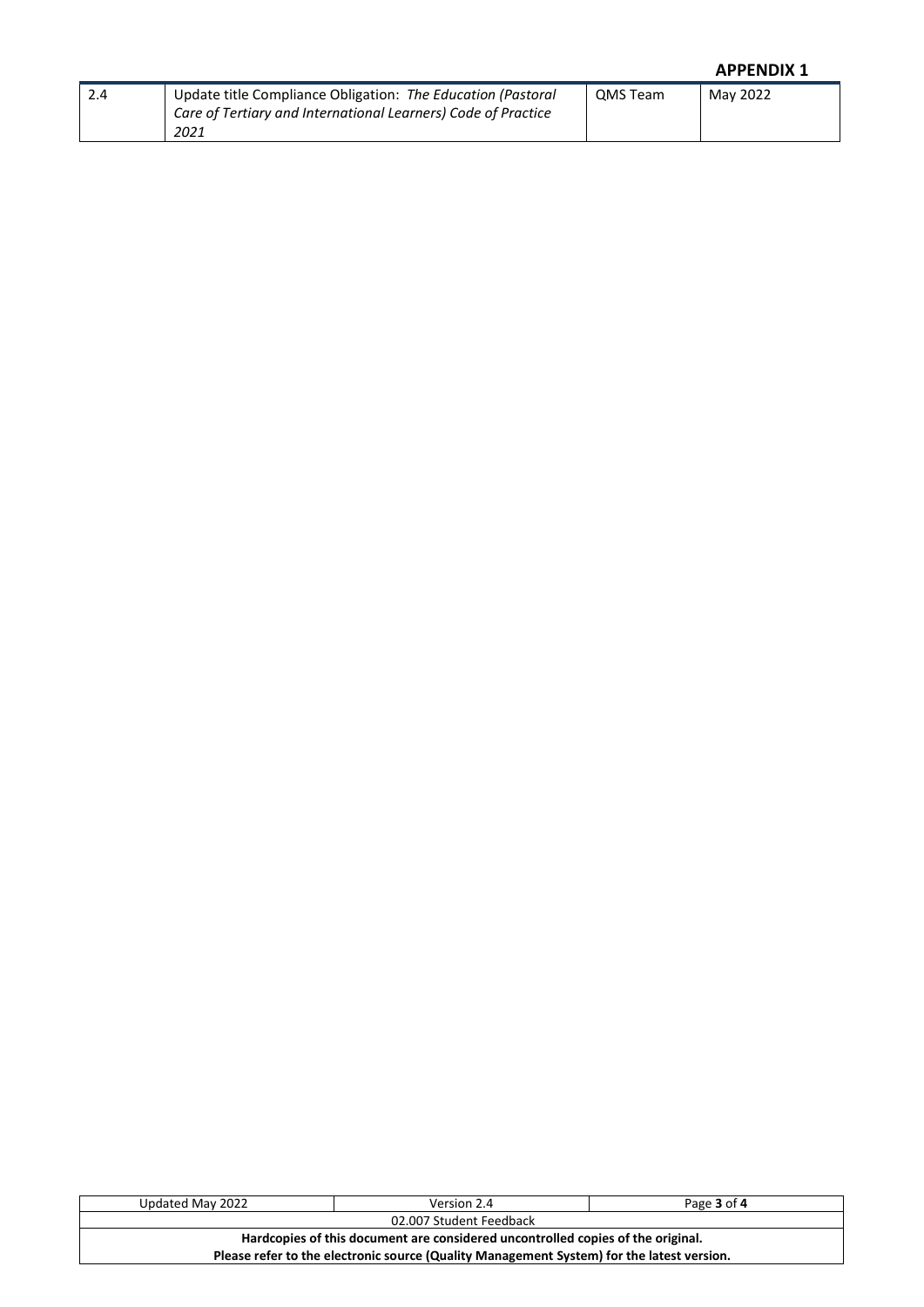# **APPENDIX 1**

| Update title Compliance Obligation: The Education (Pastoral   | QMS Team | Mav 2022 |
|---------------------------------------------------------------|----------|----------|
| Care of Tertiary and International Learners) Code of Practice |          |          |
| 2021                                                          |          |          |

| Updated May 2022                                                                          | Version 2.4 | Page 3 of 4 |
|-------------------------------------------------------------------------------------------|-------------|-------------|
| 02.007 Student Feedback                                                                   |             |             |
| Hardcopies of this document are considered uncontrolled copies of the original.           |             |             |
| Please refer to the electronic source (Quality Management System) for the latest version. |             |             |
|                                                                                           |             |             |